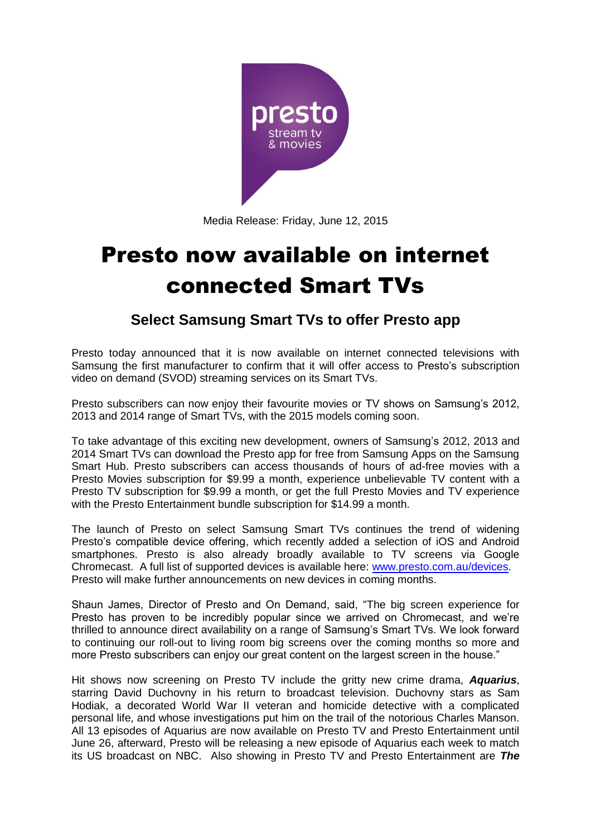

Media Release: Friday, June 12, 2015

# Presto now available on internet connected Smart TVs

## **Select Samsung Smart TVs to offer Presto app**

Presto today announced that it is now available on internet connected televisions with Samsung the first manufacturer to confirm that it will offer access to Presto's subscription video on demand (SVOD) streaming services on its Smart TVs.

Presto subscribers can now enjoy their favourite movies or TV shows on Samsung's 2012, 2013 and 2014 range of Smart TVs, with the 2015 models coming soon.

To take advantage of this exciting new development, owners of Samsung's 2012, 2013 and 2014 Smart TVs can download the Presto app for free from Samsung Apps on the Samsung Smart Hub. Presto subscribers can access thousands of hours of ad-free movies with a Presto Movies subscription for \$9.99 a month, experience unbelievable TV content with a Presto TV subscription for \$9.99 a month, or get the full Presto Movies and TV experience with the Presto Entertainment bundle subscription for \$14.99 a month.

The launch of Presto on select Samsung Smart TVs continues the trend of widening Presto's compatible device offering, which recently added a selection of iOS and Android smartphones. Presto is also already broadly available to TV screens via Google Chromecast. A full list of supported devices is available here: [www.presto.com.au/devices.](http://www.presto.com.au/devices) Presto will make further announcements on new devices in coming months.

Shaun James, Director of Presto and On Demand, said, "The big screen experience for Presto has proven to be incredibly popular since we arrived on Chromecast, and we're thrilled to announce direct availability on a range of Samsung's Smart TVs. We look forward to continuing our roll-out to living room big screens over the coming months so more and more Presto subscribers can enjoy our great content on the largest screen in the house."

Hit shows now screening on Presto TV include the gritty new crime drama, *Aquarius*, starring David Duchovny in his return to broadcast television. Duchovny stars as Sam Hodiak, a decorated World War II veteran and homicide detective with a complicated personal life, and whose investigations put him on the trail of the notorious Charles Manson. All 13 episodes of Aquarius are now available on Presto TV and Presto Entertainment until June 26, afterward, Presto will be releasing a new episode of Aquarius each week to match its US broadcast on NBC. Also showing in Presto TV and Presto Entertainment are *The*